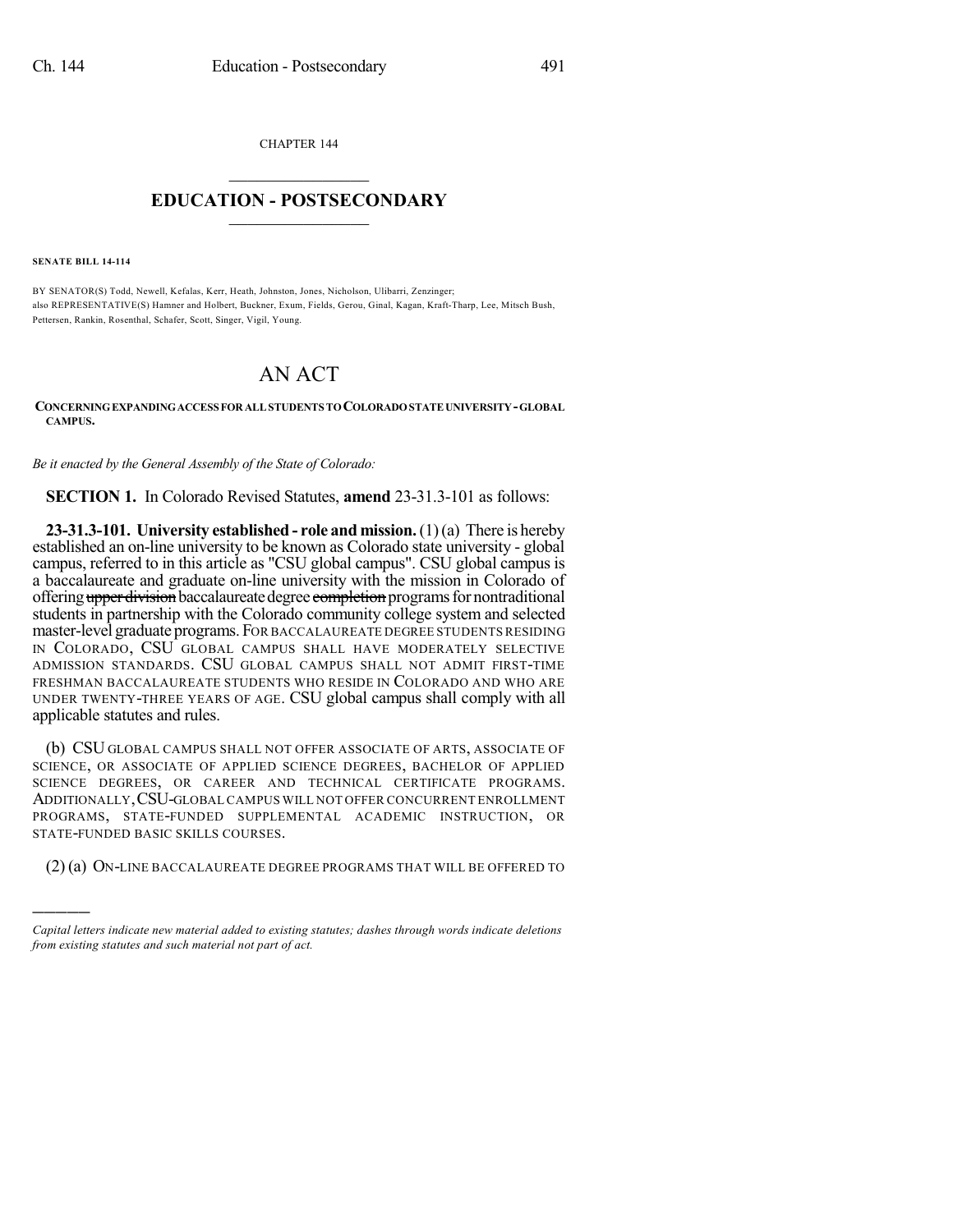CHAPTER 144

## $\overline{\phantom{a}}$  . The set of the set of the set of the set of the set of the set of the set of the set of the set of the set of the set of the set of the set of the set of the set of the set of the set of the set of the set o **EDUCATION - POSTSECONDARY**  $\_$   $\_$   $\_$   $\_$   $\_$   $\_$   $\_$   $\_$   $\_$

**SENATE BILL 14-114**

)))))

BY SENATOR(S) Todd, Newell, Kefalas, Kerr, Heath, Johnston, Jones, Nicholson, Ulibarri, Zenzinger; also REPRESENTATIVE(S) Hamner and Holbert, Buckner, Exum, Fields, Gerou, Ginal, Kagan, Kraft-Tharp, Lee, Mitsch Bush, Pettersen, Rankin, Rosenthal, Schafer, Scott, Singer, Vigil, Young.

## AN ACT

**CONCERNINGEXPANDINGACCESS FORALLSTUDENTS TOCOLORADOSTATEUNIVERSITY-GLOBAL CAMPUS.**

*Be it enacted by the General Assembly of the State of Colorado:*

**SECTION 1.** In Colorado Revised Statutes, **amend** 23-31.3-101 as follows:

**23-31.3-101. University established - role and mission.**(1)(a) There is hereby established an on-line university to be known as Colorado state university - global campus, referred to in this article as "CSU global campus". CSU global campus is a baccalaureate and graduate on-line university with the mission in Colorado of offering upper division baccalaureate degree completion programs for nontraditional students in partnership with the Colorado community college system and selected master-level graduate programs. FOR BACCALAUREATE DEGREE STUDENTS RESIDING IN COLORADO, CSU GLOBAL CAMPUS SHALL HAVE MODERATELY SELECTIVE ADMISSION STANDARDS. CSU GLOBAL CAMPUS SHALL NOT ADMIT FIRST-TIME FRESHMAN BACCALAUREATE STUDENTS WHO RESIDE IN COLORADO AND WHO ARE UNDER TWENTY-THREE YEARS OF AGE. CSU global campus shall comply with all applicable statutes and rules.

(b) CSU GLOBAL CAMPUS SHALL NOT OFFER ASSOCIATE OF ARTS, ASSOCIATE OF SCIENCE, OR ASSOCIATE OF APPLIED SCIENCE DEGREES, BACHELOR OF APPLIED SCIENCE DEGREES, OR CAREER AND TECHNICAL CERTIFICATE PROGRAMS. ADDITIONALLY,CSU-GLOBAL CAMPUS WILL NOT OFFER CONCURRENT ENROLLMENT PROGRAMS, STATE-FUNDED SUPPLEMENTAL ACADEMIC INSTRUCTION, OR STATE-FUNDED BASIC SKILLS COURSES.

(2) (a) ON-LINE BACCALAUREATE DEGREE PROGRAMS THAT WILL BE OFFERED TO

*Capital letters indicate new material added to existing statutes; dashes through words indicate deletions from existing statutes and such material not part of act.*